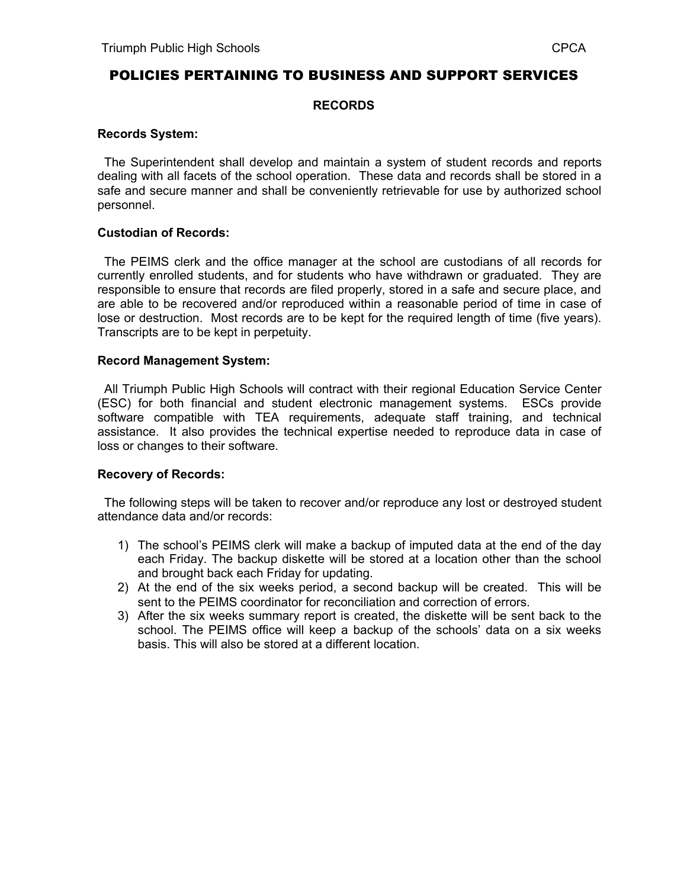# POLICIES PERTAINING TO BUSINESS AND SUPPORT SERVICES

### **RECORDS**

#### **Records System:**

 The Superintendent shall develop and maintain a system of student records and reports dealing with all facets of the school operation. These data and records shall be stored in a safe and secure manner and shall be conveniently retrievable for use by authorized school personnel.

### **Custodian of Records:**

 The PEIMS clerk and the office manager at the school are custodians of all records for currently enrolled students, and for students who have withdrawn or graduated. They are responsible to ensure that records are filed properly, stored in a safe and secure place, and are able to be recovered and/or reproduced within a reasonable period of time in case of lose or destruction. Most records are to be kept for the required length of time (five years). Transcripts are to be kept in perpetuity.

#### **Record Management System:**

 All Triumph Public High Schools will contract with their regional Education Service Center (ESC) for both financial and student electronic management systems. ESCs provide software compatible with TEA requirements, adequate staff training, and technical assistance. It also provides the technical expertise needed to reproduce data in case of loss or changes to their software.

## **Recovery of Records:**

 The following steps will be taken to recover and/or reproduce any lost or destroyed student attendance data and/or records:

- 1) The school's PEIMS clerk will make a backup of imputed data at the end of the day each Friday. The backup diskette will be stored at a location other than the school and brought back each Friday for updating.
- 2) At the end of the six weeks period, a second backup will be created. This will be sent to the PEIMS coordinator for reconciliation and correction of errors.
- 3) After the six weeks summary report is created, the diskette will be sent back to the school. The PEIMS office will keep a backup of the schools' data on a six weeks basis. This will also be stored at a different location.